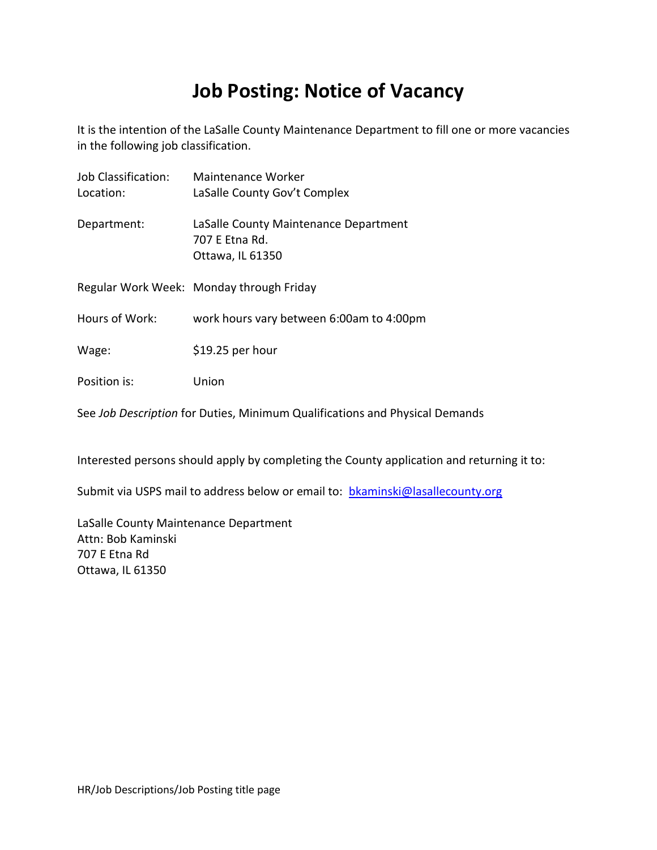# **Job Posting: Notice of Vacancy**

It is the intention of the LaSalle County Maintenance Department to fill one or more vacancies in the following job classification.

| Job Classification:<br>Location: | Maintenance Worker<br>LaSalle County Gov't Complex                          |
|----------------------------------|-----------------------------------------------------------------------------|
| Department:                      | LaSalle County Maintenance Department<br>707 E Etna Rd.<br>Ottawa, IL 61350 |
|                                  | Regular Work Week: Monday through Friday                                    |
| Hours of Work:                   | work hours vary between 6:00am to 4:00pm                                    |
| Wage:                            | \$19.25 per hour                                                            |
| Position is:                     | Union                                                                       |

See *Job Description* for Duties, Minimum Qualifications and Physical Demands

Interested persons should apply by completing the County application and returning it to:

Submit via USPS mail to address below or email to: **[bkaminski@lasallecounty.org](mailto:bkaminski@lasallecounty.org)** 

LaSalle County Maintenance Department Attn: Bob Kaminski 707 E Etna Rd Ottawa, IL 61350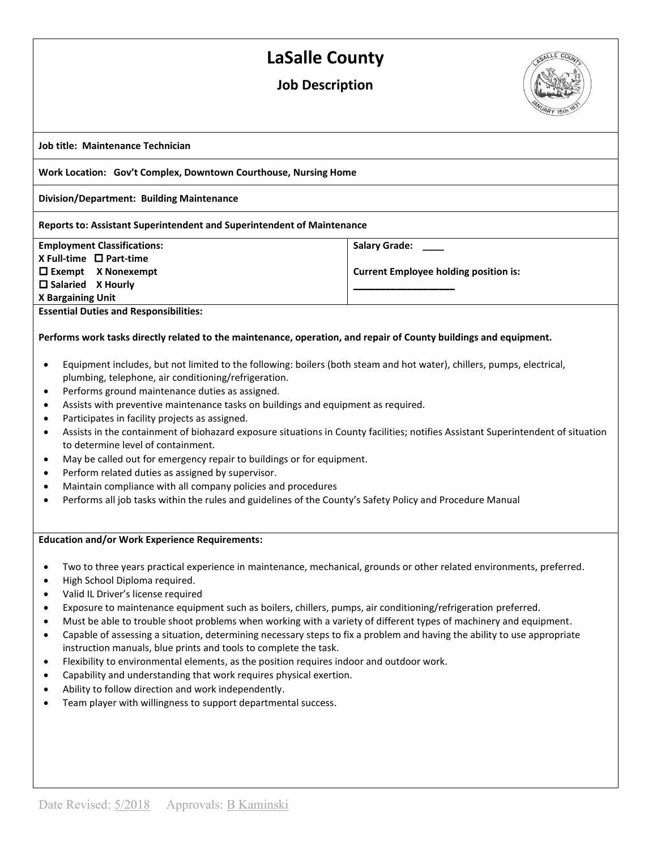## **LaSalle County**

### **Job Description**



**Job title: Maintenance Technician**

**Work Location: Gov't Complex, Downtown Courthouse, Nursing Home**

**Division/Department: Building Maintenance**

#### **Reports to: Assistant Superintendent and Superintendent of Maintenance**

#### **Employment Classifications:**

**X Full-time Part-time Exempt X Nonexempt Salaried X Hourly**

**Salary Grade: \_\_\_\_**

**Current Employee holding position is: \_\_\_\_\_\_\_\_\_\_\_\_\_\_\_\_\_\_\_**

**X Bargaining Unit** 

**Essential Duties and Responsibilities:**

#### **Performs work tasks directly related to the maintenance, operation, and repair of County buildings and equipment.**

- Equipment includes, but not limited to the following: boilers (both steam and hot water), chillers, pumps, electrical, plumbing, telephone, air conditioning/refrigeration.
- Performs ground maintenance duties as assigned.
- Assists with preventive maintenance tasks on buildings and equipment as required.
- Participates in facility projects as assigned.
- Assists in the containment of biohazard exposure situations in County facilities; notifies Assistant Superintendent of situation to determine level of containment.
- May be called out for emergency repair to buildings or for equipment.
- Perform related duties as assigned by supervisor.
- Maintain compliance with all company policies and procedures
- Performs all job tasks within the rules and guidelines of the County's Safety Policy and Procedure Manual

#### **Education and/or Work Experience Requirements:**

- Two to three years practical experience in maintenance, mechanical, grounds or other related environments, preferred.
- High School Diploma required.
- Valid IL Driver's license required
- Exposure to maintenance equipment such as boilers, chillers, pumps, air conditioning/refrigeration preferred.
- Must be able to trouble shoot problems when working with a variety of different types of machinery and equipment.
- Capable of assessing a situation, determining necessary steps to fix a problem and having the ability to use appropriate instruction manuals, blue prints and tools to complete the task.
- Flexibility to environmental elements, as the position requires indoor and outdoor work.
- Capability and understanding that work requires physical exertion.
- Ability to follow direction and work independently.
- Team player with willingness to support departmental success.